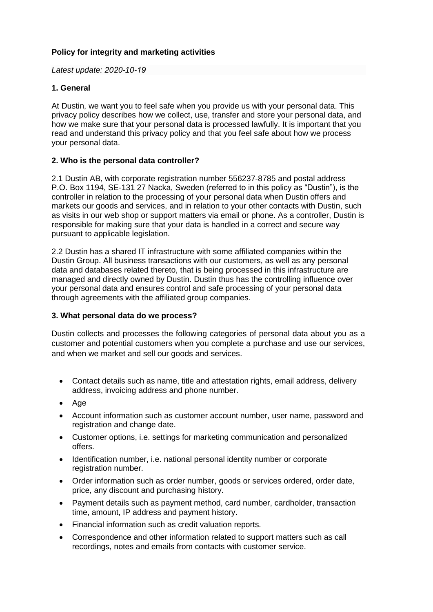# **Policy for integrity and marketing activities**

## *Latest update: 2020-10-19*

# **1. General**

At Dustin, we want you to feel safe when you provide us with your personal data. This privacy policy describes how we collect, use, transfer and store your personal data, and how we make sure that your personal data is processed lawfully. It is important that you read and understand this privacy policy and that you feel safe about how we process your personal data.

## **2. Who is the personal data controller?**

2.1 Dustin AB, with corporate registration number 556237-8785 and postal address P.O. Box 1194, SE-131 27 Nacka, Sweden (referred to in this policy as "Dustin"), is the controller in relation to the processing of your personal data when Dustin offers and markets our goods and services, and in relation to your other contacts with Dustin, such as visits in our web shop or support matters via email or phone. As a controller, Dustin is responsible for making sure that your data is handled in a correct and secure way pursuant to applicable legislation.

2.2 Dustin has a shared IT infrastructure with some affiliated companies within the Dustin Group. All business transactions with our customers, as well as any personal data and databases related thereto, that is being processed in this infrastructure are managed and directly owned by Dustin. Dustin thus has the controlling influence over your personal data and ensures control and safe processing of your personal data through agreements with the affiliated group companies.

# **3. What personal data do we process?**

Dustin collects and processes the following categories of personal data about you as a customer and potential customers when you complete a purchase and use our services, and when we market and sell our goods and services.

- Contact details such as name, title and attestation rights, email address, delivery address, invoicing address and phone number.
- Age
- Account information such as customer account number, user name, password and registration and change date.
- Customer options, i.e. settings for marketing communication and personalized offers.
- Identification number, i.e. national personal identity number or corporate registration number.
- Order information such as order number, goods or services ordered, order date, price, any discount and purchasing history.
- Payment details such as payment method, card number, cardholder, transaction time, amount, IP address and payment history.
- Financial information such as credit valuation reports.
- Correspondence and other information related to support matters such as call recordings, notes and emails from contacts with customer service.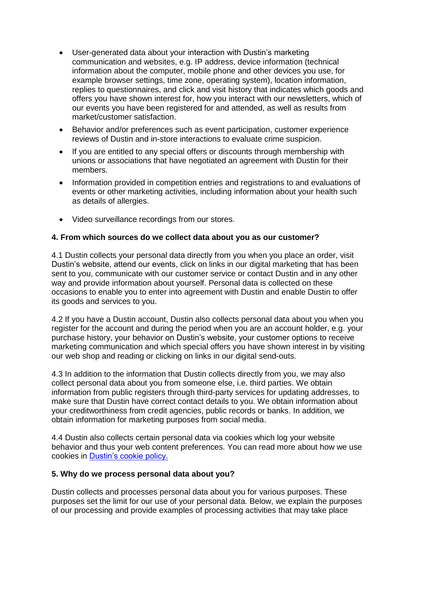- User-generated data about your interaction with Dustin's marketing communication and websites, e.g. IP address, device information (technical information about the computer, mobile phone and other devices you use, for example browser settings, time zone, operating system), location information, replies to questionnaires, and click and visit history that indicates which goods and offers you have shown interest for, how you interact with our newsletters, which of our events you have been registered for and attended, as well as results from market/customer satisfaction.
- Behavior and/or preferences such as event participation, customer experience reviews of Dustin and in-store interactions to evaluate crime suspicion.
- If you are entitled to any special offers or discounts through membership with unions or associations that have negotiated an agreement with Dustin for their members.
- Information provided in competition entries and registrations to and evaluations of events or other marketing activities, including information about your health such as details of allergies.
- Video surveillance recordings from our stores.

## **4. From which sources do we collect data about you as our customer?**

4.1 Dustin collects your personal data directly from you when you place an order, visit Dustin's website, attend our events, click on links in our digital marketing that has been sent to you, communicate with our customer service or contact Dustin and in any other way and provide information about yourself. Personal data is collected on these occasions to enable you to enter into agreement with Dustin and enable Dustin to offer its goods and services to you.

4.2 If you have a Dustin account, Dustin also collects personal data about you when you register for the account and during the period when you are an account holder, e.g. your purchase history, your behavior on Dustin's website, your customer options to receive marketing communication and which special offers you have shown interest in by visiting our web shop and reading or clicking on links in our digital send-outs.

4.3 In addition to the information that Dustin collects directly from you, we may also collect personal data about you from someone else, i.e. third parties. We obtain information from public registers through third-party services for updating addresses, to make sure that Dustin have correct contact details to you. We obtain information about your creditworthiness from credit agencies, public records or banks. In addition, we obtain information for marketing purposes from social media.

4.4 Dustin also collects certain personal data via cookies which log your website behavior and thus your web content preferences. You can read more about how we use cookies in [Dustin's cookie policy.](https://www.dustin.fi/service/cookies)

#### **5. Why do we process personal data about you?**

Dustin collects and processes personal data about you for various purposes. These purposes set the limit for our use of your personal data. Below, we explain the purposes of our processing and provide examples of processing activities that may take place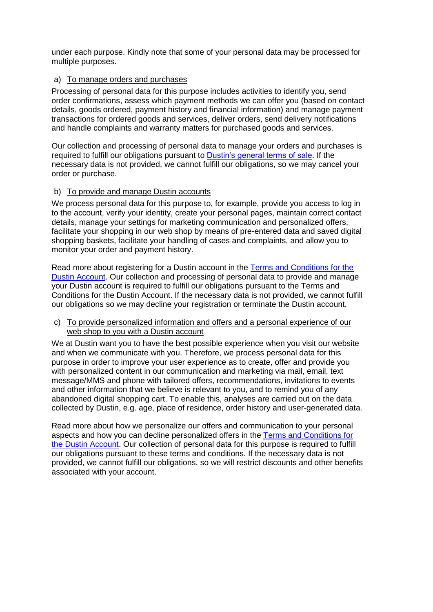under each purpose. Kindly note that some of your personal data may be processed for multiple purposes.

## a) To manage orders and purchases

Processing of personal data for this purpose includes activities to identify you, send order confirmations, assess which payment methods we can offer you (based on contact details, goods ordered, payment history and financial information) and manage payment transactions for ordered goods and services, deliver orders, send delivery notifications and handle complaints and warranty matters for purchased goods and services.

Our collection and processing of personal data to manage your orders and purchases is required to fulfill our obligations pursuant to [Dustin's general terms of sale.](https://www.dustin.fi/service/myyntiehdot) If the necessary data is not provided, we cannot fulfill our obligations, so we may cancel your order or purchase.

#### b) To provide and manage Dustin accounts

We process personal data for this purpose to, for example, provide you access to log in to the account, verify your identity, create your personal pages, maintain correct contact details, manage your settings for marketing communication and personalized offers, facilitate your shopping in our web shop by means of pre-entered data and saved digital shopping baskets, facilitate your handling of cases and complaints, and allow you to monitor your order and payment history.

Read more about registering for a Dustin account in the [Terms and Conditions for the](https://www.dustin.fi/service/dustintili/)  [Dustin Account.](https://www.dustin.fi/service/dustintili/) Our collection and processing of personal data to provide and manage your Dustin account is required to fulfill our obligations pursuant to the Terms and Conditions for the Dustin Account. If the necessary data is not provided, we cannot fulfill our obligations so we may decline your registration or terminate the Dustin account.

#### c) To provide personalized information and offers and a personal experience of our web shop to you with a Dustin account

We at Dustin want you to have the best possible experience when you visit our website and when we communicate with you. Therefore, we process personal data for this purpose in order to improve your user experience as to create, offer and provide you with personalized content in our communication and marketing via mail, email, text message/MMS and phone with tailored offers, recommendations, invitations to events and other information that we believe is relevant to you, and to remind you of any abandoned digital shopping cart. To enable this, analyses are carried out on the data collected by Dustin, e.g. age, place of residence, order history and user-generated data.

Read more about how we personalize our offers and communication to your personal aspects and how you can decline personalized offers in the [Terms and Conditions for](https://www.dustin.fi/service/dustintili/)  [the Dustin Account.](https://www.dustin.fi/service/dustintili/) Our collection of personal data for this purpose is required to fulfill our obligations pursuant to these terms and conditions. If the necessary data is not provided, we cannot fulfill our obligations, so we will restrict discounts and other benefits associated with your account.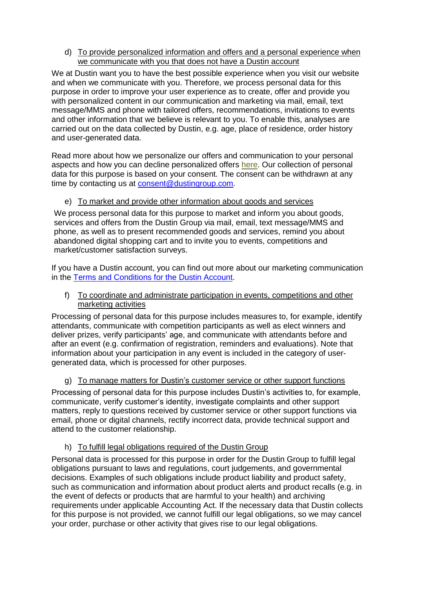d) To provide personalized information and offers and a personal experience when we communicate with you that does not have a Dustin account

We at Dustin want you to have the best possible experience when you visit our website and when we communicate with you. Therefore, we process personal data for this purpose in order to improve your user experience as to create, offer and provide you with personalized content in our communication and marketing via mail, email, text message/MMS and phone with tailored offers, recommendations, invitations to events and other information that we believe is relevant to you. To enable this, analyses are carried out on the data collected by Dustin, e.g. age, place of residence, order history and user-generated data.

Read more about how we personalize our offers and communication to your personal aspects and how you can decline personalized offers [here.](#page-14-0) Our collection of personal data for this purpose is based on your consent. The consent can be withdrawn at any time by contacting us at [consent@dustingroup.com.](mailto:consent@dustingroup.com)

# e) To market and provide other information about goods and services

We process personal data for this purpose to market and inform you about goods, services and offers from the Dustin Group via mail, email, text message/MMS and phone, as well as to present recommended goods and services, remind you about abandoned digital shopping cart and to invite you to events, competitions and market/customer satisfaction surveys.

If you have a Dustin account, you can find out more about our marketing communication in the [Terms and Conditions for the](https://www.dustin.fi/service/dustintili/) Dustin Account.

f) To coordinate and administrate participation in events, competitions and other marketing activities

Processing of personal data for this purpose includes measures to, for example, identify attendants, communicate with competition participants as well as elect winners and deliver prizes, verify participants' age, and communicate with attendants before and after an event (e.g. confirmation of registration, reminders and evaluations). Note that information about your participation in any event is included in the category of usergenerated data, which is processed for other purposes.

## g) To manage matters for Dustin's customer service or other support functions

Processing of personal data for this purpose includes Dustin's activities to, for example, communicate, verify customer's identity, investigate complaints and other support matters, reply to questions received by customer service or other support functions via email, phone or digital channels, rectify incorrect data, provide technical support and attend to the customer relationship.

## h) To fulfill legal obligations required of the Dustin Group

Personal data is processed for this purpose in order for the Dustin Group to fulfill legal obligations pursuant to laws and regulations, court judgements, and governmental decisions. Examples of such obligations include product liability and product safety, such as communication and information about product alerts and product recalls (e.g. in the event of defects or products that are harmful to your health) and archiving requirements under applicable Accounting Act. If the necessary data that Dustin collects for this purpose is not provided, we cannot fulfill our legal obligations, so we may cancel your order, purchase or other activity that gives rise to our legal obligations.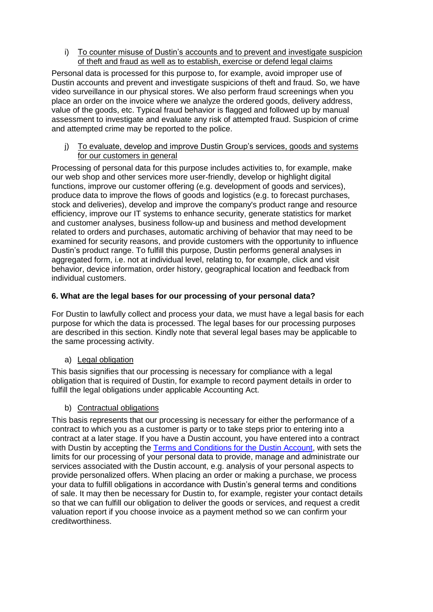i) To counter misuse of Dustin's accounts and to prevent and investigate suspicion of theft and fraud as well as to establish, exercise or defend legal claims

Personal data is processed for this purpose to, for example, avoid improper use of Dustin accounts and prevent and investigate suspicions of theft and fraud. So, we have video surveillance in our physical stores. We also perform fraud screenings when you place an order on the invoice where we analyze the ordered goods, delivery address, value of the goods, etc. Typical fraud behavior is flagged and followed up by manual assessment to investigate and evaluate any risk of attempted fraud. Suspicion of crime and attempted crime may be reported to the police.

j) To evaluate, develop and improve Dustin Group's services, goods and systems for our customers in general

Processing of personal data for this purpose includes activities to, for example, make our web shop and other services more user-friendly, develop or highlight digital functions, improve our customer offering (e.g. development of goods and services), produce data to improve the flows of goods and logistics (e.g. to forecast purchases, stock and deliveries), develop and improve the company's product range and resource efficiency, improve our IT systems to enhance security, generate statistics for market and customer analyses, business follow-up and business and method development related to orders and purchases, automatic archiving of behavior that may need to be examined for security reasons, and provide customers with the opportunity to influence Dustin's product range. To fulfill this purpose, Dustin performs general analyses in aggregated form, i.e. not at individual level, relating to, for example, click and visit behavior, device information, order history, geographical location and feedback from individual customers.

# **6. What are the legal bases for our processing of your personal data?**

For Dustin to lawfully collect and process your data, we must have a legal basis for each purpose for which the data is processed. The legal bases for our processing purposes are described in this section. Kindly note that several legal bases may be applicable to the same processing activity.

# a) Legal obligation

This basis signifies that our processing is necessary for compliance with a legal obligation that is required of Dustin, for example to record payment details in order to fulfill the legal obligations under applicable Accounting Act.

## b) Contractual obligations

This basis represents that our processing is necessary for either the performance of a contract to which you as a customer is party or to take steps prior to entering into a contract at a later stage. If you have a Dustin account, you have entered into a contract with Dustin by accepting the [Terms and Conditions for the Dustin Account,](https://www.dustin.fi/service/dustintili/) with sets the limits for our processing of your personal data to provide, manage and administrate our services associated with the Dustin account, e.g. analysis of your personal aspects to provide personalized offers. When placing an order or making a purchase, we process your data to fulfill obligations in accordance with Dustin's general terms and conditions of sale. It may then be necessary for Dustin to, for example, register your contact details so that we can fulfill our obligation to deliver the goods or services, and request a credit valuation report if you choose invoice as a payment method so we can confirm your creditworthiness.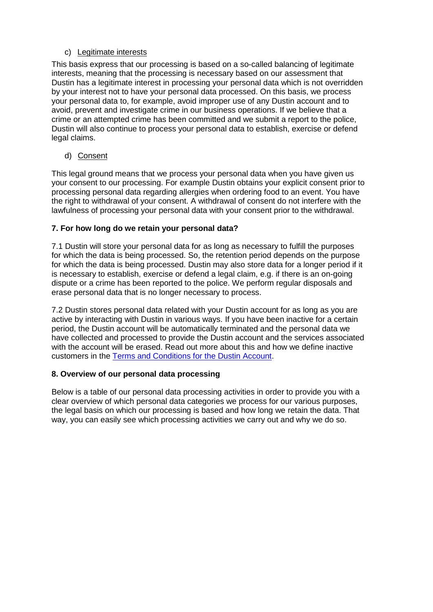# c) Legitimate interests

This basis express that our processing is based on a so-called balancing of legitimate interests, meaning that the processing is necessary based on our assessment that Dustin has a legitimate interest in processing your personal data which is not overridden by your interest not to have your personal data processed. On this basis, we process your personal data to, for example, avoid improper use of any Dustin account and to avoid, prevent and investigate crime in our business operations. If we believe that a crime or an attempted crime has been committed and we submit a report to the police, Dustin will also continue to process your personal data to establish, exercise or defend legal claims.

d) Consent

This legal ground means that we process your personal data when you have given us your consent to our processing. For example Dustin obtains your explicit consent prior to processing personal data regarding allergies when ordering food to an event. You have the right to withdrawal of your consent. A withdrawal of consent do not interfere with the lawfulness of processing your personal data with your consent prior to the withdrawal.

# **7. For how long do we retain your personal data?**

7.1 Dustin will store your personal data for as long as necessary to fulfill the purposes for which the data is being processed. So, the retention period depends on the purpose for which the data is being processed. Dustin may also store data for a longer period if it is necessary to establish, exercise or defend a legal claim, e.g. if there is an on-going dispute or a crime has been reported to the police. We perform regular disposals and erase personal data that is no longer necessary to process.

7.2 Dustin stores personal data related with your Dustin account for as long as you are active by interacting with Dustin in various ways. If you have been inactive for a certain period, the Dustin account will be automatically terminated and the personal data we have collected and processed to provide the Dustin account and the services associated with the account will be erased. Read out more about this and how we define inactive customers in the [Terms and Conditions for the Dustin Account.](https://www.dustin.fi/service/dustintili/)

# **8. Overview of our personal data processing**

Below is a table of our personal data processing activities in order to provide you with a clear overview of which personal data categories we process for our various purposes, the legal basis on which our processing is based and how long we retain the data. That way, you can easily see which processing activities we carry out and why we do so.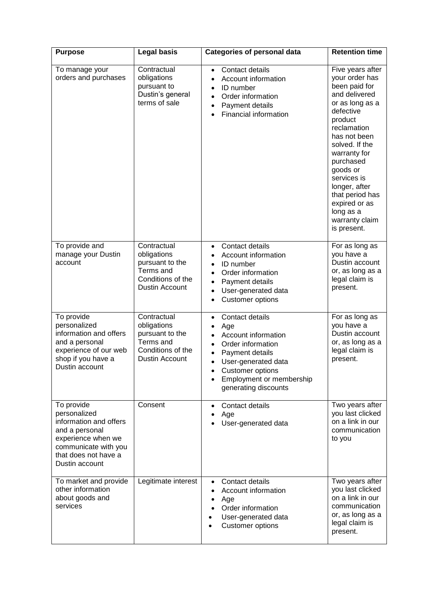| <b>Purpose</b>                                                                                                                                                 | <b>Legal basis</b>                                                                                | <b>Categories of personal data</b>                                                                                                                                                                                                                                        | <b>Retention time</b>                                                                                                                                                                                                                                                                                                       |
|----------------------------------------------------------------------------------------------------------------------------------------------------------------|---------------------------------------------------------------------------------------------------|---------------------------------------------------------------------------------------------------------------------------------------------------------------------------------------------------------------------------------------------------------------------------|-----------------------------------------------------------------------------------------------------------------------------------------------------------------------------------------------------------------------------------------------------------------------------------------------------------------------------|
| To manage your<br>orders and purchases                                                                                                                         | Contractual<br>obligations<br>pursuant to<br>Dustin's general<br>terms of sale                    | Contact details<br>$\bullet$<br>Account information<br>$\bullet$<br>ID number<br>$\bullet$<br>Order information<br>$\bullet$<br>Payment details<br>$\bullet$<br>Financial information                                                                                     | Five years after<br>your order has<br>been paid for<br>and delivered<br>or as long as a<br>defective<br>product<br>reclamation<br>has not been<br>solved. If the<br>warranty for<br>purchased<br>goods or<br>services is<br>longer, after<br>that period has<br>expired or as<br>long as a<br>warranty claim<br>is present. |
| To provide and<br>manage your Dustin<br>account                                                                                                                | Contractual<br>obligations<br>pursuant to the<br>Terms and<br>Conditions of the<br>Dustin Account | Contact details<br>$\bullet$<br>Account information<br>ID number<br>Order information<br>$\bullet$<br>Payment details<br>User-generated data<br><b>Customer options</b><br>$\bullet$                                                                                      | For as long as<br>you have a<br>Dustin account<br>or, as long as a<br>legal claim is<br>present.                                                                                                                                                                                                                            |
| To provide<br>personalized<br>information and offers<br>and a personal<br>experience of our web<br>shop if you have a<br>Dustin account                        | Contractual<br>obligations<br>pursuant to the<br>Terms and<br>Conditions of the<br>Dustin Account | Contact details<br>$\bullet$<br>Age<br>$\bullet$<br>Account information<br>$\bullet$<br>Order information<br>$\bullet$<br>Payment details<br>$\bullet$<br>User-generated data<br><b>Customer options</b><br>Employment or membership<br>$\bullet$<br>generating discounts | For as long as<br>you have a<br>Dustin account<br>or, as long as a<br>legal claim is<br>present.                                                                                                                                                                                                                            |
| To provide<br>personalized<br>information and offers<br>and a personal<br>experience when we<br>communicate with you<br>that does not have a<br>Dustin account | Consent                                                                                           | Contact details<br>Age<br>User-generated data                                                                                                                                                                                                                             | Two years after<br>you last clicked<br>on a link in our<br>communication<br>to you                                                                                                                                                                                                                                          |
| To market and provide<br>other information<br>about goods and<br>services                                                                                      | Legitimate interest                                                                               | Contact details<br>Account information<br>Age<br>Order information<br>User-generated data<br><b>Customer options</b>                                                                                                                                                      | Two years after<br>you last clicked<br>on a link in our<br>communication<br>or, as long as a<br>legal claim is<br>present.                                                                                                                                                                                                  |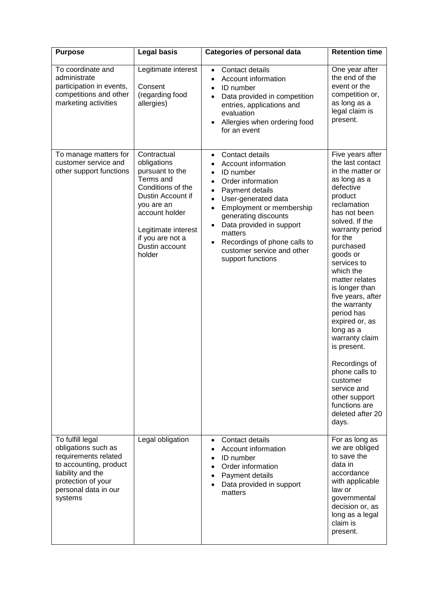| <b>Purpose</b>                                                                                                                                                          | Legal basis                                                                                                                                                                                                 | <b>Categories of personal data</b>                                                                                                                                                                                                                                                                                                                                | <b>Retention time</b>                                                                                                                                                                                                                                                                                                                                                                                                                                                                                                    |
|-------------------------------------------------------------------------------------------------------------------------------------------------------------------------|-------------------------------------------------------------------------------------------------------------------------------------------------------------------------------------------------------------|-------------------------------------------------------------------------------------------------------------------------------------------------------------------------------------------------------------------------------------------------------------------------------------------------------------------------------------------------------------------|--------------------------------------------------------------------------------------------------------------------------------------------------------------------------------------------------------------------------------------------------------------------------------------------------------------------------------------------------------------------------------------------------------------------------------------------------------------------------------------------------------------------------|
| To coordinate and<br>administrate<br>participation in events,<br>competitions and other<br>marketing activities                                                         | Legitimate interest<br>Consent<br>(regarding food<br>allergies)                                                                                                                                             | Contact details<br>$\bullet$<br>Account information<br>$\bullet$<br>ID number<br>$\bullet$<br>Data provided in competition<br>entries, applications and<br>evaluation<br>Allergies when ordering food<br>for an event                                                                                                                                             | One year after<br>the end of the<br>event or the<br>competition or,<br>as long as a<br>legal claim is<br>present.                                                                                                                                                                                                                                                                                                                                                                                                        |
| To manage matters for<br>customer service and<br>other support functions                                                                                                | Contractual<br>obligations<br>pursuant to the<br>Terms and<br>Conditions of the<br>Dustin Account if<br>you are an<br>account holder<br>Legitimate interest<br>if you are not a<br>Dustin account<br>holder | Contact details<br>$\bullet$<br>Account information<br>ID number<br>Order information<br>$\bullet$<br>Payment details<br>$\bullet$<br>User-generated data<br>Employment or membership<br>generating discounts<br>Data provided in support<br>$\bullet$<br>matters<br>Recordings of phone calls to<br>$\bullet$<br>customer service and other<br>support functions | Five years after<br>the last contact<br>in the matter or<br>as long as a<br>defective<br>product<br>reclamation<br>has not been<br>solved. If the<br>warranty period<br>for the<br>purchased<br>goods or<br>services to<br>which the<br>matter relates<br>is longer than<br>five years, after<br>the warranty<br>period has<br>expired or, as<br>long as a<br>warranty claim<br>is present.<br>Recordings of<br>phone calls to<br>customer<br>service and<br>other support<br>functions are<br>deleted after 20<br>days. |
| To fulfill legal<br>obligations such as<br>requirements related<br>to accounting, product<br>liability and the<br>protection of your<br>personal data in our<br>systems | Legal obligation                                                                                                                                                                                            | Contact details<br>$\bullet$<br>Account information<br>$\bullet$<br>ID number<br>$\bullet$<br>Order information<br>Payment details<br>$\bullet$<br>Data provided in support<br>matters                                                                                                                                                                            | For as long as<br>we are obliged<br>to save the<br>data in<br>accordance<br>with applicable<br>law or<br>governmental<br>decision or, as<br>long as a legal<br>claim is<br>present.                                                                                                                                                                                                                                                                                                                                      |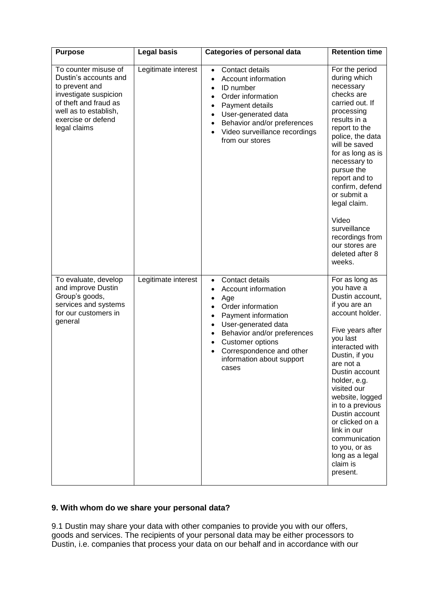| <b>Purpose</b>                                                                                                                                                                   | <b>Legal basis</b>  | <b>Categories of personal data</b>                                                                                                                                                                                                                 | <b>Retention time</b>                                                                                                                                                                                                                                                                                                                                                                          |
|----------------------------------------------------------------------------------------------------------------------------------------------------------------------------------|---------------------|----------------------------------------------------------------------------------------------------------------------------------------------------------------------------------------------------------------------------------------------------|------------------------------------------------------------------------------------------------------------------------------------------------------------------------------------------------------------------------------------------------------------------------------------------------------------------------------------------------------------------------------------------------|
| To counter misuse of<br>Dustin's accounts and<br>to prevent and<br>investigate suspicion<br>of theft and fraud as<br>well as to establish,<br>exercise or defend<br>legal claims | Legitimate interest | Contact details<br>$\bullet$<br>Account information<br>ID number<br>Order information<br>Payment details<br>User-generated data<br>Behavior and/or preferences<br>Video surveillance recordings<br>from our stores                                 | For the period<br>during which<br>necessary<br>checks are<br>carried out. If<br>processing<br>results in a<br>report to the<br>police, the data<br>will be saved<br>for as long as is<br>necessary to<br>pursue the<br>report and to<br>confirm, defend<br>or submit a<br>legal claim.<br>Video<br>surveillance<br>recordings from<br>our stores are<br>deleted after 8<br>weeks.              |
| To evaluate, develop<br>and improve Dustin<br>Group's goods,<br>services and systems<br>for our customers in<br>general                                                          | Legitimate interest | Contact details<br>$\bullet$<br>Account information<br>Age<br>Order information<br>Payment information<br>User-generated data<br>Behavior and/or preferences<br>Customer options<br>Correspondence and other<br>information about support<br>cases | For as long as<br>you have a<br>Dustin account,<br>if you are an<br>account holder.<br>Five years after<br>you last<br>interacted with<br>Dustin, if you<br>are not a<br>Dustin account<br>holder, e.g.<br>visited our<br>website, logged<br>in to a previous<br>Dustin account<br>or clicked on a<br>link in our<br>communication<br>to you, or as<br>long as a legal<br>claim is<br>present. |

# **9. With whom do we share your personal data?**

9.1 Dustin may share your data with other companies to provide you with our offers, goods and services. The recipients of your personal data may be either processors to Dustin, i.e. companies that process your data on our behalf and in accordance with our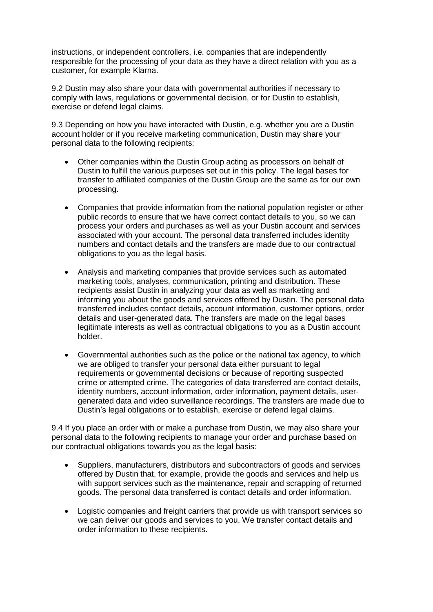instructions, or independent controllers, i.e. companies that are independently responsible for the processing of your data as they have a direct relation with you as a customer, for example Klarna.

9.2 Dustin may also share your data with governmental authorities if necessary to comply with laws, regulations or governmental decision, or for Dustin to establish, exercise or defend legal claims.

9.3 Depending on how you have interacted with Dustin, e.g. whether you are a Dustin account holder or if you receive marketing communication, Dustin may share your personal data to the following recipients:

- Other companies within the Dustin Group acting as processors on behalf of Dustin to fulfill the various purposes set out in this policy. The legal bases for transfer to affiliated companies of the Dustin Group are the same as for our own processing.
- Companies that provide information from the national population register or other public records to ensure that we have correct contact details to you, so we can process your orders and purchases as well as your Dustin account and services associated with your account. The personal data transferred includes identity numbers and contact details and the transfers are made due to our contractual obligations to you as the legal basis.
- Analysis and marketing companies that provide services such as automated marketing tools, analyses, communication, printing and distribution. These recipients assist Dustin in analyzing your data as well as marketing and informing you about the goods and services offered by Dustin. The personal data transferred includes contact details, account information, customer options, order details and user-generated data. The transfers are made on the legal bases legitimate interests as well as contractual obligations to you as a Dustin account holder.
- Governmental authorities such as the police or the national tax agency, to which we are obliged to transfer your personal data either pursuant to legal requirements or governmental decisions or because of reporting suspected crime or attempted crime. The categories of data transferred are contact details, identity numbers, account information, order information, payment details, usergenerated data and video surveillance recordings. The transfers are made due to Dustin's legal obligations or to establish, exercise or defend legal claims.

9.4 If you place an order with or make a purchase from Dustin, we may also share your personal data to the following recipients to manage your order and purchase based on our contractual obligations towards you as the legal basis:

- Suppliers, manufacturers, distributors and subcontractors of goods and services offered by Dustin that, for example, provide the goods and services and help us with support services such as the maintenance, repair and scrapping of returned goods. The personal data transferred is contact details and order information.
- Logistic companies and freight carriers that provide us with transport services so we can deliver our goods and services to you. We transfer contact details and order information to these recipients.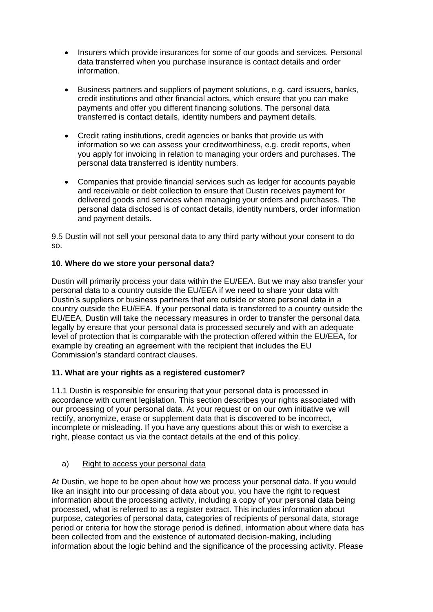- Insurers which provide insurances for some of our goods and services. Personal data transferred when you purchase insurance is contact details and order information.
- Business partners and suppliers of payment solutions, e.g. card issuers, banks, credit institutions and other financial actors, which ensure that you can make payments and offer you different financing solutions. The personal data transferred is contact details, identity numbers and payment details.
- Credit rating institutions, credit agencies or banks that provide us with information so we can assess your creditworthiness, e.g. credit reports, when you apply for invoicing in relation to managing your orders and purchases. The personal data transferred is identity numbers.
- Companies that provide financial services such as ledger for accounts payable and receivable or debt collection to ensure that Dustin receives payment for delivered goods and services when managing your orders and purchases. The personal data disclosed is of contact details, identity numbers, order information and payment details.

9.5 Dustin will not sell your personal data to any third party without your consent to do so.

# **10. Where do we store your personal data?**

Dustin will primarily process your data within the EU/EEA. But we may also transfer your personal data to a country outside the EU/EEA if we need to share your data with Dustin's suppliers or business partners that are outside or store personal data in a country outside the EU/EEA. If your personal data is transferred to a country outside the EU/EEA, Dustin will take the necessary measures in order to transfer the personal data legally by ensure that your personal data is processed securely and with an adequate level of protection that is comparable with the protection offered within the EU/EEA, for example by creating an agreement with the recipient that includes the EU Commission's standard contract clauses.

## **11. What are your rights as a registered customer?**

11.1 Dustin is responsible for ensuring that your personal data is processed in accordance with current legislation. This section describes your rights associated with our processing of your personal data. At your request or on our own initiative we will rectify, anonymize, erase or supplement data that is discovered to be incorrect, incomplete or misleading. If you have any questions about this or wish to exercise a right, please contact us via the contact details at the end of this policy.

## a) Right to access your personal data

At Dustin, we hope to be open about how we process your personal data. If you would like an insight into our processing of data about you, you have the right to request information about the processing activity, including a copy of your personal data being processed, what is referred to as a register extract. This includes information about purpose, categories of personal data, categories of recipients of personal data, storage period or criteria for how the storage period is defined, information about where data has been collected from and the existence of automated decision-making, including information about the logic behind and the significance of the processing activity. Please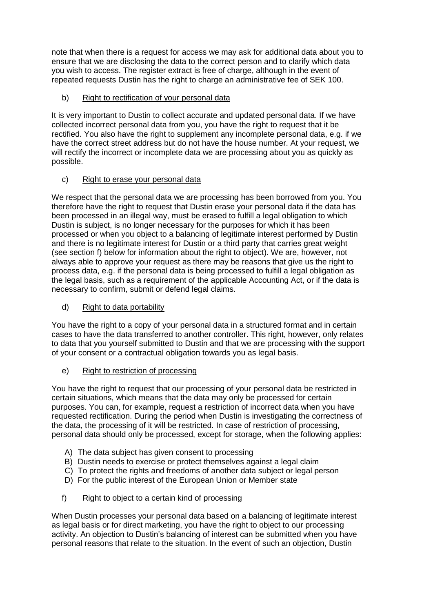note that when there is a request for access we may ask for additional data about you to ensure that we are disclosing the data to the correct person and to clarify which data you wish to access. The register extract is free of charge, although in the event of repeated requests Dustin has the right to charge an administrative fee of SEK 100.

# b) Right to rectification of your personal data

It is very important to Dustin to collect accurate and updated personal data. If we have collected incorrect personal data from you, you have the right to request that it be rectified. You also have the right to supplement any incomplete personal data, e.g. if we have the correct street address but do not have the house number. At your request, we will rectify the incorrect or incomplete data we are processing about you as quickly as possible.

# c) Right to erase your personal data

We respect that the personal data we are processing has been borrowed from you. You therefore have the right to request that Dustin erase your personal data if the data has been processed in an illegal way, must be erased to fulfill a legal obligation to which Dustin is subject, is no longer necessary for the purposes for which it has been processed or when you object to a balancing of legitimate interest performed by Dustin and there is no legitimate interest for Dustin or a third party that carries great weight (see section f) below for information about the right to object). We are, however, not always able to approve your request as there may be reasons that give us the right to process data, e.g. if the personal data is being processed to fulfill a legal obligation as the legal basis, such as a requirement of the applicable Accounting Act, or if the data is necessary to confirm, submit or defend legal claims.

# d) Right to data portability

You have the right to a copy of your personal data in a structured format and in certain cases to have the data transferred to another controller. This right, however, only relates to data that you yourself submitted to Dustin and that we are processing with the support of your consent or a contractual obligation towards you as legal basis.

# e) Right to restriction of processing

You have the right to request that our processing of your personal data be restricted in certain situations, which means that the data may only be processed for certain purposes. You can, for example, request a restriction of incorrect data when you have requested rectification. During the period when Dustin is investigating the correctness of the data, the processing of it will be restricted. In case of restriction of processing, personal data should only be processed, except for storage, when the following applies:

- A) The data subject has given consent to processing
- B) Dustin needs to exercise or protect themselves against a legal claim
- C) To protect the rights and freedoms of another data subject or legal person
- D) For the public interest of the European Union or Member state

# f) Right to object to a certain kind of processing

When Dustin processes your personal data based on a balancing of legitimate interest as legal basis or for direct marketing, you have the right to object to our processing activity. An objection to Dustin's balancing of interest can be submitted when you have personal reasons that relate to the situation. In the event of such an objection, Dustin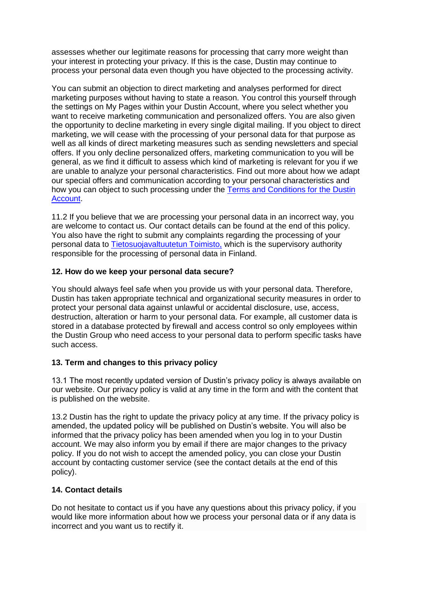assesses whether our legitimate reasons for processing that carry more weight than your interest in protecting your privacy. If this is the case, Dustin may continue to process your personal data even though you have objected to the processing activity.

You can submit an objection to direct marketing and analyses performed for direct marketing purposes without having to state a reason. You control this yourself through the settings on My Pages within your Dustin Account, where you select whether you want to receive marketing communication and personalized offers. You are also given the opportunity to decline marketing in every single digital mailing. If you object to direct marketing, we will cease with the processing of your personal data for that purpose as well as all kinds of direct marketing measures such as sending newsletters and special offers. If you only decline personalized offers, marketing communication to you will be general, as we find it difficult to assess which kind of marketing is relevant for you if we are unable to analyze your personal characteristics. Find out more about how we adapt our special offers and communication according to your personal characteristics and how you can object to such processing under the [Terms and Conditions for the Dustin](https://www.dustin.fi/service/dustintili/)  [Account.](https://www.dustin.fi/service/dustintili/)

11.2 If you believe that we are processing your personal data in an incorrect way, you are welcome to contact us. Our contact details can be found at the end of this policy. You also have the right to submit any complaints regarding the processing of your personal data to [Tietosuojavaltuutetun Toimisto,](https://tietosuoja.fi/etusivu) which is the supervisory authority responsible for the processing of personal data in Finland.

## **12. How do we keep your personal data secure?**

You should always feel safe when you provide us with your personal data. Therefore, Dustin has taken appropriate technical and organizational security measures in order to protect your personal data against unlawful or accidental disclosure, use, access, destruction, alteration or harm to your personal data. For example, all customer data is stored in a database protected by firewall and access control so only employees within the Dustin Group who need access to your personal data to perform specific tasks have such access.

## **13. Term and changes to this privacy policy**

13.1 The most recently updated version of Dustin's privacy policy is always available on our website. Our privacy policy is valid at any time in the form and with the content that is published on the website.

13.2 Dustin has the right to update the privacy policy at any time. If the privacy policy is amended, the updated policy will be published on Dustin's website. You will also be informed that the privacy policy has been amended when you log in to your Dustin account. We may also inform you by email if there are major changes to the privacy policy. If you do not wish to accept the amended policy, you can close your Dustin account by contacting customer service (see the contact details at the end of this policy).

#### **14. Contact details**

Do not hesitate to contact us if you have any questions about this privacy policy, if you would like more information about how we process your personal data or if any data is incorrect and you want us to rectify it.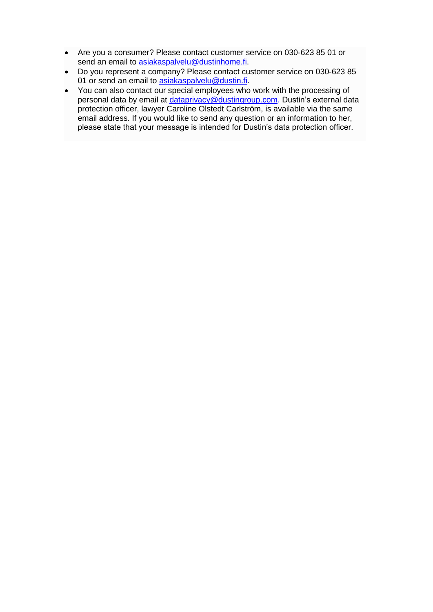- Are you a consumer? Please contact customer service on 030-623 85 01 or send an email to [asiakaspalvelu@dustinhome.fi.](mailto:asiakaspalvelu@dustinhome.fi)
- Do you represent a company? Please contact customer service on 030-623 85 01 or send an email to [asiakaspalvelu@dustin.fi.](mailto:asiakaspalvelu@dustin.fi)
- You can also contact our special employees who work with the processing of personal data by email at [dataprivacy@dustingroup.com.](mailto:dataprivacy@dustingroup.com) Dustin's external data protection officer, lawyer Caroline Olstedt Carlström, is available via the same email address. If you would like to send any question or an information to her, please state that your message is intended for Dustin's data protection officer.